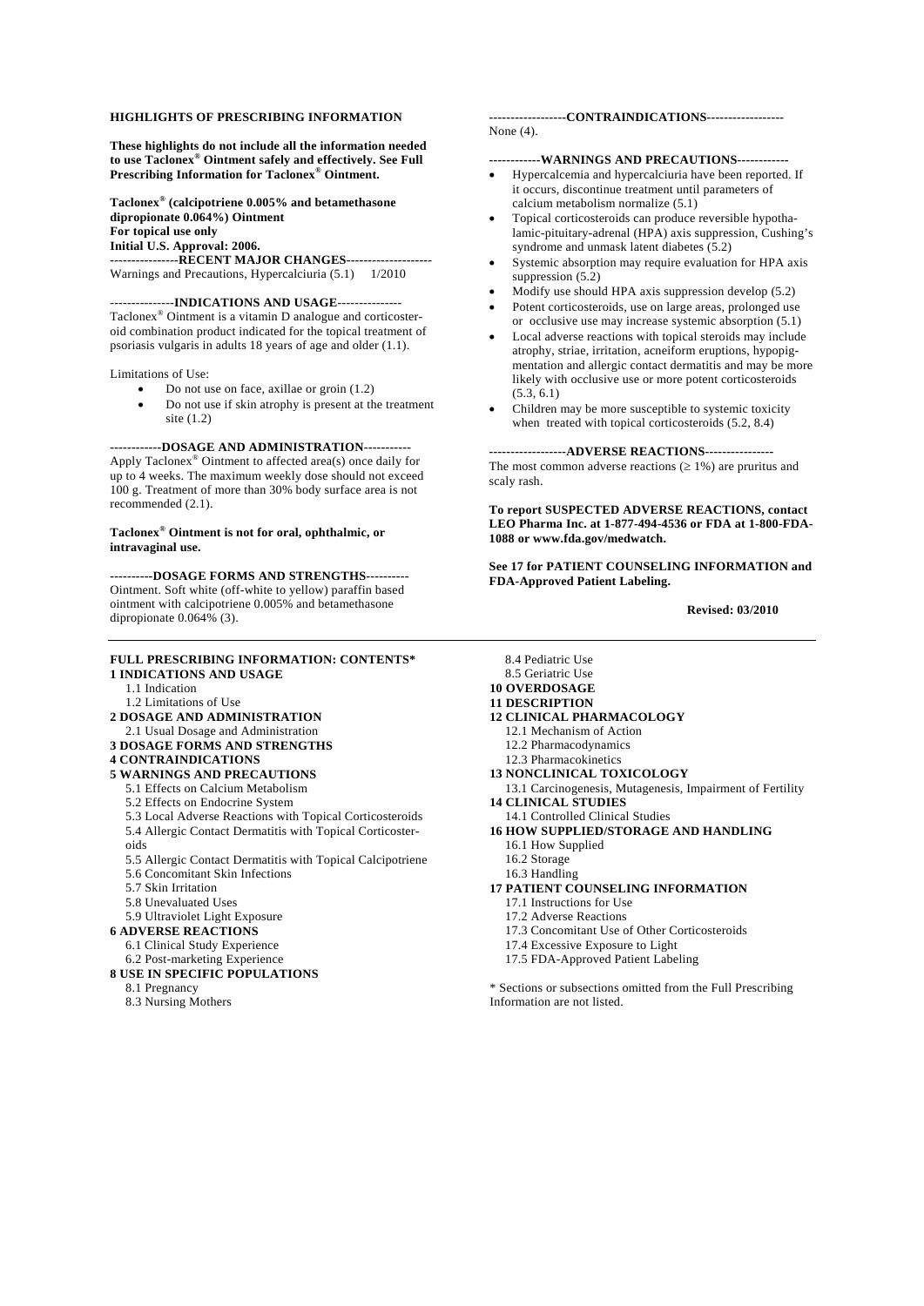#### **HIGHLIGHTS OF PRESCRIBING INFORMATION**

**These highlights do not include all the information needed to use Taclonex® Ointment safely and effectively. See Full Prescribing Information for Taclonex® Ointment.** 

Initial U.S. Approval: 2006. **Taclonex® (calcipotriene 0.005% and betamethasone dipropionate 0.064%) Ointment For topical use only Initial U.S. Approval: 2006. ----------------RECENT MAJOR CHANGES--------------------** 

Warnings and Precautions, Hypercalciuria (5.1) 1/2010

#### ---------------**INDICATIONS AND USAGE**---------------

Taclonex® Ointment is a vitamin D analogue and corticosteroid combination product indicated for the topical treatment of psoriasis vulgaris in adults 18 years of age and older (1.1).

Limitations of Use:

- Do not use on face, axillae or groin  $(1.2)$
- Do not use if skin atrophy is present at the treatment site (1.2)

 recommended (2.1). **------------DOSAGE AND ADMINISTRATION-----------**  Apply Taclonex® Ointment to affected area(s) once daily for up to 4 weeks. The maximum weekly dose should not exceed 100 g. Treatment of more than 30% body surface area is not

#### **Taclonex® Ointment is not for oral, ophthalmic, or intravaginal use.**

 Ointment. Soft white (off-white to yellow) paraffin based **----------DOSAGE FORMS AND STRENGTHS---------**  ointment with calcipotriene 0.005% and betamethasone dipropionate 0.064% (3).

#### **FULL PRESCRIBING INFORMATION: CONTENTS\* 1 INDICATIONS AND USAGE**

- 1.1 Indication
- 1.2 Limitations of Use
- **2 DOSAGE AND ADMINISTRATION**
- 2.1 Usual Dosage and Administration
- **3 DOSAGE FORMS AND STRENGTHS**

#### **4 CONTRAINDICATIONS**

- **5 WARNINGS AND PRECAUTIONS** 
	- 5.1 Effects on Calcium Metabolism
	- 5.2 Effects on Endocrine System
	- 5.3 Local Adverse Reactions with Topical Corticosteroids
	- 5.4 Allergic Contact Dermatitis with Topical Corticoster-
	- oids
	- 5.5 Allergic Contact Dermatitis with Topical Calcipotriene
	- 5.6 Concomitant Skin Infections
	- 5.7 Skin Irritation
	- 5.8 Unevaluated Uses
	- 5.9 Ultraviolet Light Exposure

#### **6 ADVERSE REACTIONS**

- 6.1 Clinical Study Experience
- 6.2 Post-marketing Experience
- **8 USE IN SPECIFIC POPULATIONS** 
	- 8.1 Pregnancy
	- 8.3 Nursing Mothers

#### **------------------CONTRAINDICATIONS------------------**  None (4).

#### **------------WARNINGS AND PRECAUTIONS------------**

- Hypercalcemia and hypercalciuria have been reported. If it occurs, discontinue treatment until parameters of calcium metabolism normalize (5.1)
- • Topical corticosteroids can produce reversible hypothalamic-pituitary-adrenal (HPA) axis suppression, Cushing's syndrome and unmask latent diabetes (5.2)
- Systemic absorption may require evaluation for HPA axis suppression  $(5.2)$
- Modify use should HPA axis suppression develop  $(5.2)$
- Potent corticosteroids, use on large areas, prolonged use or occlusive use may increase systemic absorption (5.1)
- Local adverse reactions with topical steroids may include atrophy, striae, irritation, acneiform eruptions, hypopigmentation and allergic contact dermatitis and may be more likely with occlusive use or more potent corticosteroids (5.3, 6.1)
- Children may be more susceptible to systemic toxicity when treated with topical corticosteroids  $(5.2, 8.4)$

**------------------ADVERSE REACTIONS----------------**  The most common adverse reactions  $(≥ 1%)$  are pruritus and scaly rash.

**To report SUSPECTED ADVERSE REACTIONS, contact LEO Pharma Inc. at 1-877-494-4536 or FDA at 1-800-FDA-1088 or www.fda.gov/medwatch.** 

**See 17 for PATIENT COUNSELING INFORMATION and FDA-Approved Patient Labeling.** 

#### **Revised: 03/2010**

- 8.4 Pediatric Use
- 8.5 Geriatric Use
- **10 OVERDOSAGE 11 DESCRIPTION**
- 
- **12 CLINICAL PHARMACOLOGY** 
	- 12.1 Mechanism of Action
	- 12.2 Pharmacodynamics
	- 12.3 Pharmacokinetics
- **13 NONCLINICAL TOXICOLOGY**
- 13.1 Carcinogenesis, Mutagenesis, Impairment of Fertility **14 CLINICAL STUDIES**
- 
- 14.1 Controlled Clinical Studies **16 HOW SUPPLIED/STORAGE AND HANDLING** 
	- 16.1 How Supplied
	- 16.2 Storage
	- 16.3 Handling
- **17 PATIENT COUNSELING INFORMATION** 
	- 17.1 Instructions for Use
	- 17.2 Adverse Reactions
	- 17.3 Concomitant Use of Other Corticosteroids
	- 17.4 Excessive Exposure to Light
	- 17.5 FDA-Approved Patient Labeling

\* Sections or subsections omitted from the Full Prescribing Information are not listed.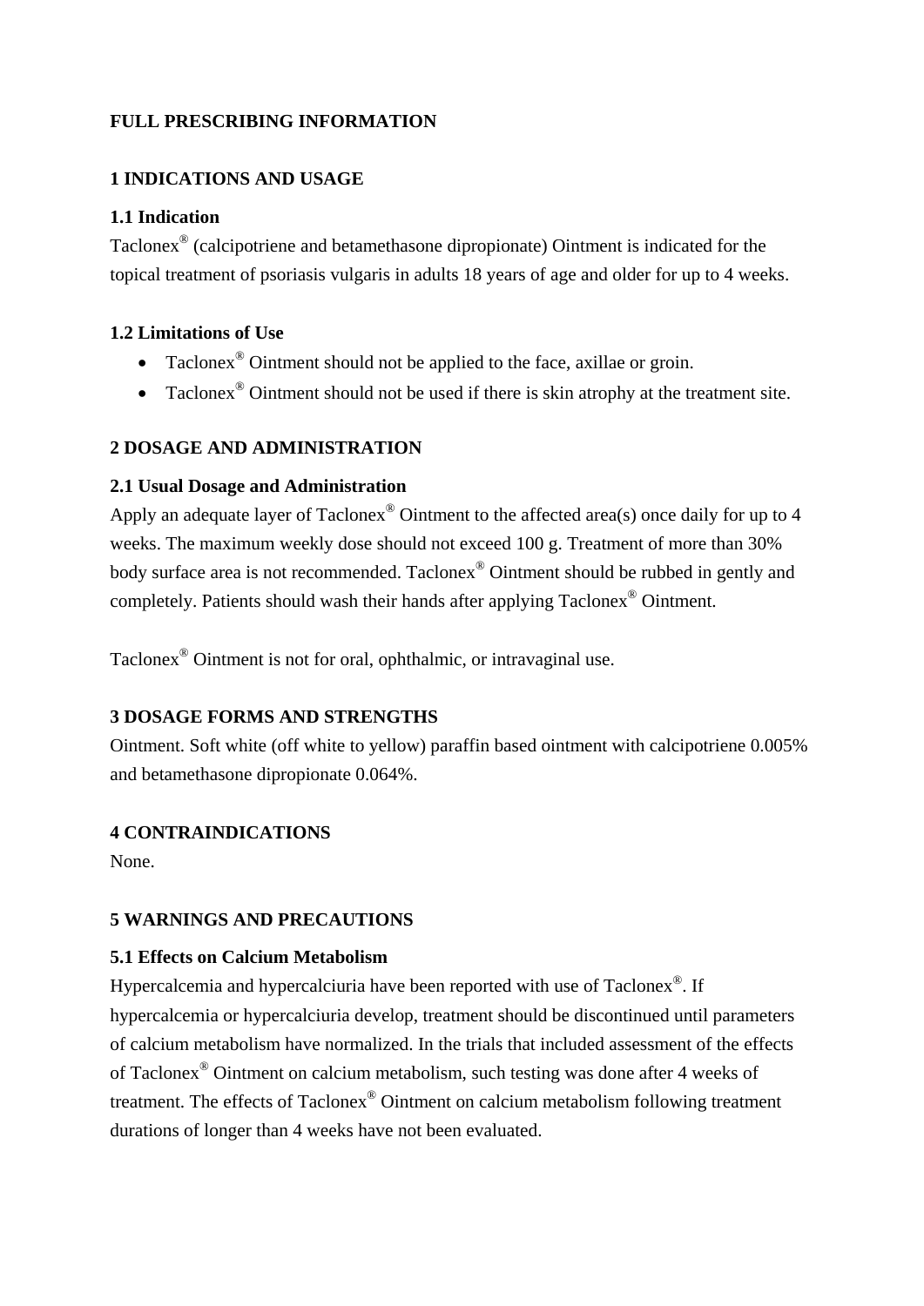# **FULL PRESCRIBING INFORMATION**

# **1 INDICATIONS AND USAGE**

## **1.1 Indication**

Taclonex® (calcipotriene and betamethasone dipropionate) Ointment is indicated for the topical treatment of psoriasis vulgaris in adults 18 years of age and older for up to 4 weeks.

## **1.2 Limitations of Use**

- Taclonex<sup>®</sup> Ointment should not be applied to the face, axillae or groin.
- Taclonex<sup>®</sup> Ointment should not be used if there is skin atrophy at the treatment site.

## **2 DOSAGE AND ADMINISTRATION**

### **2.1 Usual Dosage and Administration**

Apply an adequate layer of Taclonex<sup>®</sup> Ointment to the affected area(s) once daily for up to 4 weeks. The maximum weekly dose should not exceed 100 g. Treatment of more than 30% body surface area is not recommended. Taclonex® Ointment should be rubbed in gently and completely. Patients should wash their hands after applying Taclonex® Ointment.

Taclonex® Ointment is not for oral, ophthalmic, or intravaginal use.

## **3 DOSAGE FORMS AND STRENGTHS**

Ointment. Soft white (off white to yellow) paraffin based ointment with calcipotriene 0.005% and betamethasone dipropionate 0.064%.

## **4 CONTRAINDICATIONS**

None.

## **5 WARNINGS AND PRECAUTIONS**

## **5.1 Effects on Calcium Metabolism**

Hypercalcemia and hypercalciuria have been reported with use of Taclonex®. If hypercalcemia or hypercalciuria develop, treatment should be discontinued until parameters of calcium metabolism have normalized. In the trials that included assessment of the effects of Taclonex® Ointment on calcium metabolism, such testing was done after 4 weeks of treatment. The effects of Taclonex® Ointment on calcium metabolism following treatment durations of longer than 4 weeks have not been evaluated.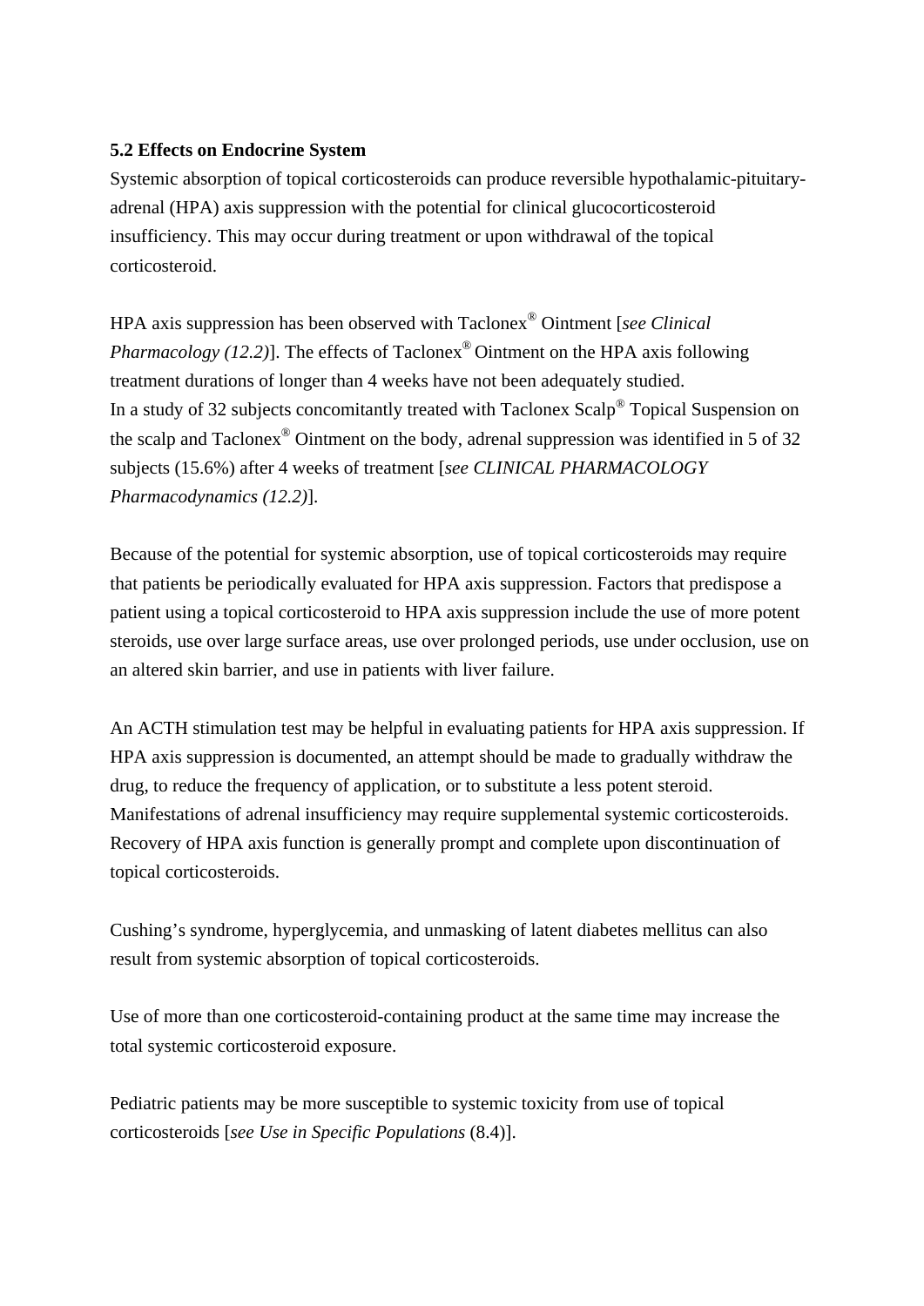## **5.2 Effects on Endocrine System**

Systemic absorption of topical corticosteroids can produce reversible hypothalamic-pituitaryadrenal (HPA) axis suppression with the potential for clinical glucocorticosteroid insufficiency. This may occur during treatment or upon withdrawal of the topical corticosteroid.

HPA axis suppression has been observed with Taclonex® Ointment [*see Clinical Pharmacology (12.2)*]. The effects of Taclonex<sup>®</sup> Ointment on the HPA axis following treatment durations of longer than 4 weeks have not been adequately studied. In a study of 32 subjects concomitantly treated with Taclonex Scalp® Topical Suspension on the scalp and Taclonex® Ointment on the body, adrenal suppression was identified in 5 of 32 subjects (15.6%) after 4 weeks of treatment [*see CLINICAL PHARMACOLOGY Pharmacodynamics (12.2)*].

Because of the potential for systemic absorption, use of topical corticosteroids may require that patients be periodically evaluated for HPA axis suppression. Factors that predispose a patient using a topical corticosteroid to HPA axis suppression include the use of more potent steroids, use over large surface areas, use over prolonged periods, use under occlusion, use on an altered skin barrier, and use in patients with liver failure.

An ACTH stimulation test may be helpful in evaluating patients for HPA axis suppression. If HPA axis suppression is documented, an attempt should be made to gradually withdraw the drug, to reduce the frequency of application, or to substitute a less potent steroid. Manifestations of adrenal insufficiency may require supplemental systemic corticosteroids. Recovery of HPA axis function is generally prompt and complete upon discontinuation of topical corticosteroids.

Cushing's syndrome, hyperglycemia, and unmasking of latent diabetes mellitus can also result from systemic absorption of topical corticosteroids.

Use of more than one corticosteroid-containing product at the same time may increase the total systemic corticosteroid exposure.

Pediatric patients may be more susceptible to systemic toxicity from use of topical corticosteroids [*see Use in Specific Populations* (8.4)].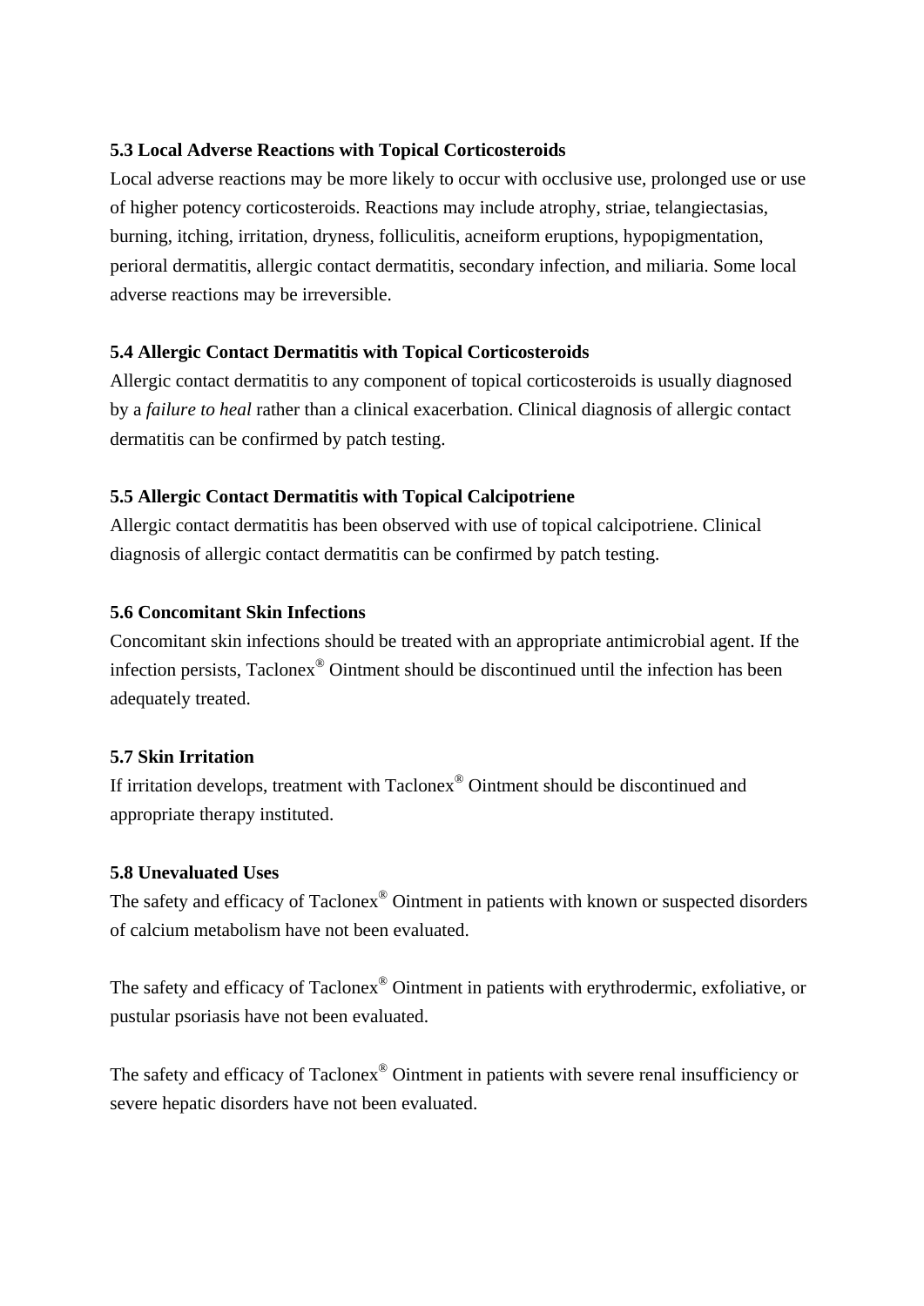# **5.3 Local Adverse Reactions with Topical Corticosteroids**

Local adverse reactions may be more likely to occur with occlusive use, prolonged use or use of higher potency corticosteroids. Reactions may include atrophy, striae, telangiectasias, burning, itching, irritation, dryness, folliculitis, acneiform eruptions, hypopigmentation, perioral dermatitis, allergic contact dermatitis, secondary infection, and miliaria. Some local adverse reactions may be irreversible.

## **5.4 Allergic Contact Dermatitis with Topical Corticosteroids**

Allergic contact dermatitis to any component of topical corticosteroids is usually diagnosed by a *failure to heal* rather than a clinical exacerbation. Clinical diagnosis of allergic contact dermatitis can be confirmed by patch testing.

# **5.5 Allergic Contact Dermatitis with Topical Calcipotriene**

Allergic contact dermatitis has been observed with use of topical calcipotriene. Clinical diagnosis of allergic contact dermatitis can be confirmed by patch testing.

# **5.6 Concomitant Skin Infections**

Concomitant skin infections should be treated with an appropriate antimicrobial agent. If the infection persists, Taclonex® Ointment should be discontinued until the infection has been adequately treated.

# **5.7 Skin Irritation**

If irritation develops, treatment with Taclonex® Ointment should be discontinued and appropriate therapy instituted.

## **5.8 Unevaluated Uses**

The safety and efficacy of Taclonex® Ointment in patients with known or suspected disorders of calcium metabolism have not been evaluated.

The safety and efficacy of Taclonex® Ointment in patients with erythrodermic, exfoliative, or pustular psoriasis have not been evaluated.

The safety and efficacy of Taclonex® Ointment in patients with severe renal insufficiency or severe hepatic disorders have not been evaluated.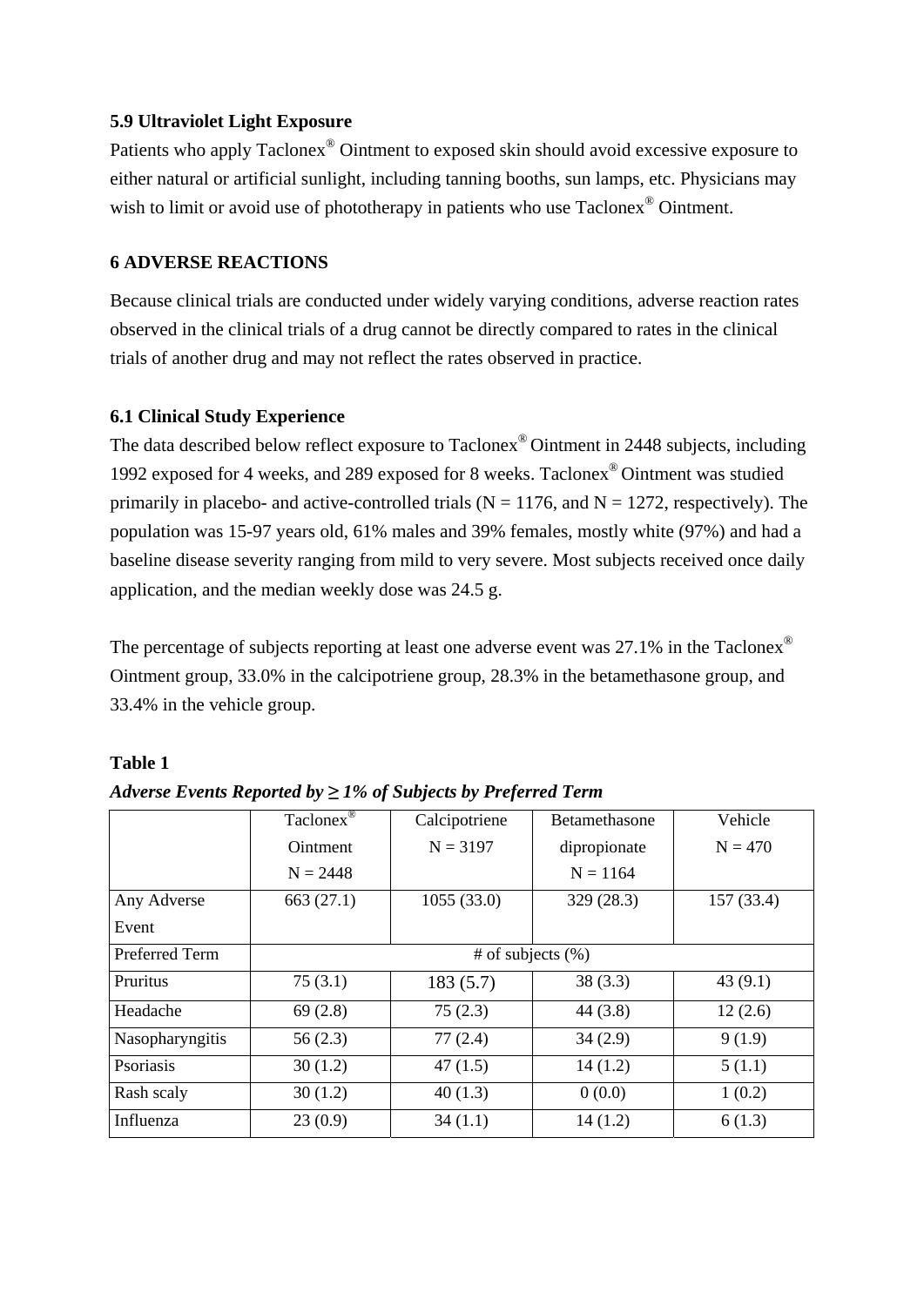### **5.9 Ultraviolet Light Exposure**

Patients who apply Taclonex® Ointment to exposed skin should avoid excessive exposure to either natural or artificial sunlight, including tanning booths, sun lamps, etc. Physicians may wish to limit or avoid use of phototherapy in patients who use Taclonex<sup>®</sup> Ointment.

## **6 ADVERSE REACTIONS**

Because clinical trials are conducted under widely varying conditions, adverse reaction rates observed in the clinical trials of a drug cannot be directly compared to rates in the clinical trials of another drug and may not reflect the rates observed in practice.

### **6.1 Clinical Study Experience**

The data described below reflect exposure to Taclonex® Ointment in 2448 subjects, including 1992 exposed for 4 weeks, and 289 exposed for 8 weeks. Taclonex® Ointment was studied primarily in placebo- and active-controlled trials ( $N = 1176$ , and  $N = 1272$ , respectively). The population was 15-97 years old, 61% males and 39% females, mostly white (97%) and had a baseline disease severity ranging from mild to very severe. Most subjects received once daily application, and the median weekly dose was 24.5 g.

The percentage of subjects reporting at least one adverse event was 27.1% in the Taclonex<sup>®</sup> Ointment group, 33.0% in the calcipotriene group, 28.3% in the betamethasone group, and 33.4% in the vehicle group.

#### **Table 1**

|  |  |  | Adverse Events Reported by $\geq$ 1% of Subjects by Preferred Term |  |
|--|--|--|--------------------------------------------------------------------|--|
|  |  |  |                                                                    |  |

|                 | Taclonex <sup>®</sup> | Calcipotriene | <b>Betamethasone</b> | Vehicle   |  |  |
|-----------------|-----------------------|---------------|----------------------|-----------|--|--|
|                 | <b>Ointment</b>       | $N = 3197$    | dipropionate         | $N = 470$ |  |  |
|                 | $N = 2448$            |               | $N = 1164$           |           |  |  |
| Any Adverse     | 663(27.1)             | 1055(33.0)    | 329 (28.3)           | 157(33.4) |  |  |
| Event           |                       |               |                      |           |  |  |
| Preferred Term  | # of subjects $(\% )$ |               |                      |           |  |  |
| Pruritus        | 75(3.1)               | 183(5.7)      | 38(3.3)              | 43(9.1)   |  |  |
| Headache        | 69(2.8)               | 75(2.3)       | 44(3.8)              | 12(2.6)   |  |  |
| Nasopharyngitis | 56(2.3)               | 77(2.4)       | 34(2.9)              | 9(1.9)    |  |  |
| Psoriasis       | 30(1.2)               | 47(1.5)       | 14(1.2)              | 5(1.1)    |  |  |
| Rash scaly      | 30(1.2)               | 40(1.3)       | 0(0.0)               | 1(0.2)    |  |  |
| Influenza       | 23(0.9)               | 34(1.1)       | 14(1.2)              | 6(1.3)    |  |  |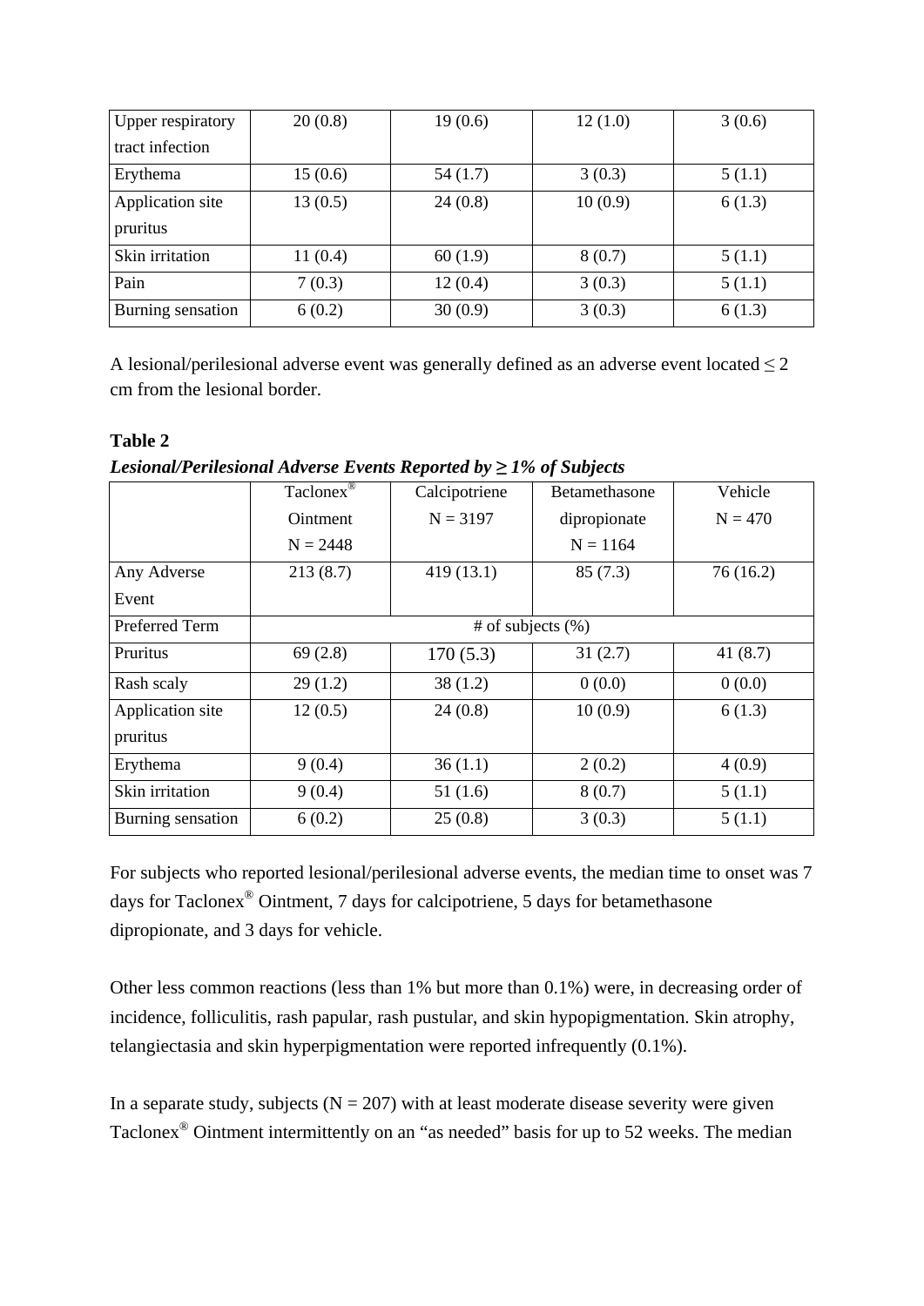| <b>Upper respiratory</b>     | 20(0.8) | 19(0.6) | 12(1.0) | 3(0.6) |
|------------------------------|---------|---------|---------|--------|
| tract infection              |         |         |         |        |
| Erythema                     | 15(0.6) | 54(1.7) | 3(0.3)  | 5(1.1) |
| Application site<br>pruritus | 13(0.5) | 24(0.8) | 10(0.9) | 6(1.3) |
| Skin irritation              | 11(0.4) | 60(1.9) | 8(0.7)  | 5(1.1) |
| Pain                         | 7(0.3)  | 12(0.4) | 3(0.3)  | 5(1.1) |
| Burning sensation            | 6(0.2)  | 30(0.9) | 3(0.3)  | 6(1.3) |

A lesional/perilesional adverse event was generally defined as an adverse event located  $\leq 2$ cm from the lesional border.

### **Table 2**

| Lesional/Perilesional Adverse Events Reported by $\geq$ 1% of Subjects |  |  |  |
|------------------------------------------------------------------------|--|--|--|
|                                                                        |  |  |  |

|                   | Taclonex $\overline{\mathbb{P}}$ | Calcipotriene         | <b>Betamethasone</b> | Vehicle    |
|-------------------|----------------------------------|-----------------------|----------------------|------------|
|                   | <b>Ointment</b>                  | $N = 3197$            | dipropionate         | $N = 470$  |
|                   | $N = 2448$                       |                       | $N = 1164$           |            |
| Any Adverse       | 213(8.7)                         | 419(13.1)             | 85(7.3)              | 76(16.2)   |
| Event             |                                  |                       |                      |            |
| Preferred Term    |                                  | # of subjects $(\% )$ |                      |            |
| Pruritus          | 69(2.8)                          | 170(5.3)              | 31(2.7)              | 41 $(8.7)$ |
| Rash scaly        | 29(1.2)                          | 38(1.2)               | 0(0.0)               | 0(0.0)     |
| Application site  | 12(0.5)                          | 24(0.8)               | 10(0.9)              | 6(1.3)     |
| pruritus          |                                  |                       |                      |            |
| Erythema          | 9(0.4)                           | 36(1.1)               | 2(0.2)               | 4(0.9)     |
| Skin irritation   | 9(0.4)                           | 51(1.6)               | 8(0.7)               | 5(1.1)     |
| Burning sensation | 6(0.2)                           | 25(0.8)               | 3(0.3)               | 5(1.1)     |

For subjects who reported lesional/perilesional adverse events, the median time to onset was 7 days for Taclonex® Ointment, 7 days for calcipotriene, 5 days for betamethasone dipropionate, and 3 days for vehicle.

Other less common reactions (less than 1% but more than 0.1%) were, in decreasing order of incidence, folliculitis, rash papular, rash pustular, and skin hypopigmentation. Skin atrophy, telangiectasia and skin hyperpigmentation were reported infrequently (0.1%).

In a separate study, subjects  $(N = 207)$  with at least moderate disease severity were given Taclonex® Ointment intermittently on an "as needed" basis for up to 52 weeks. The median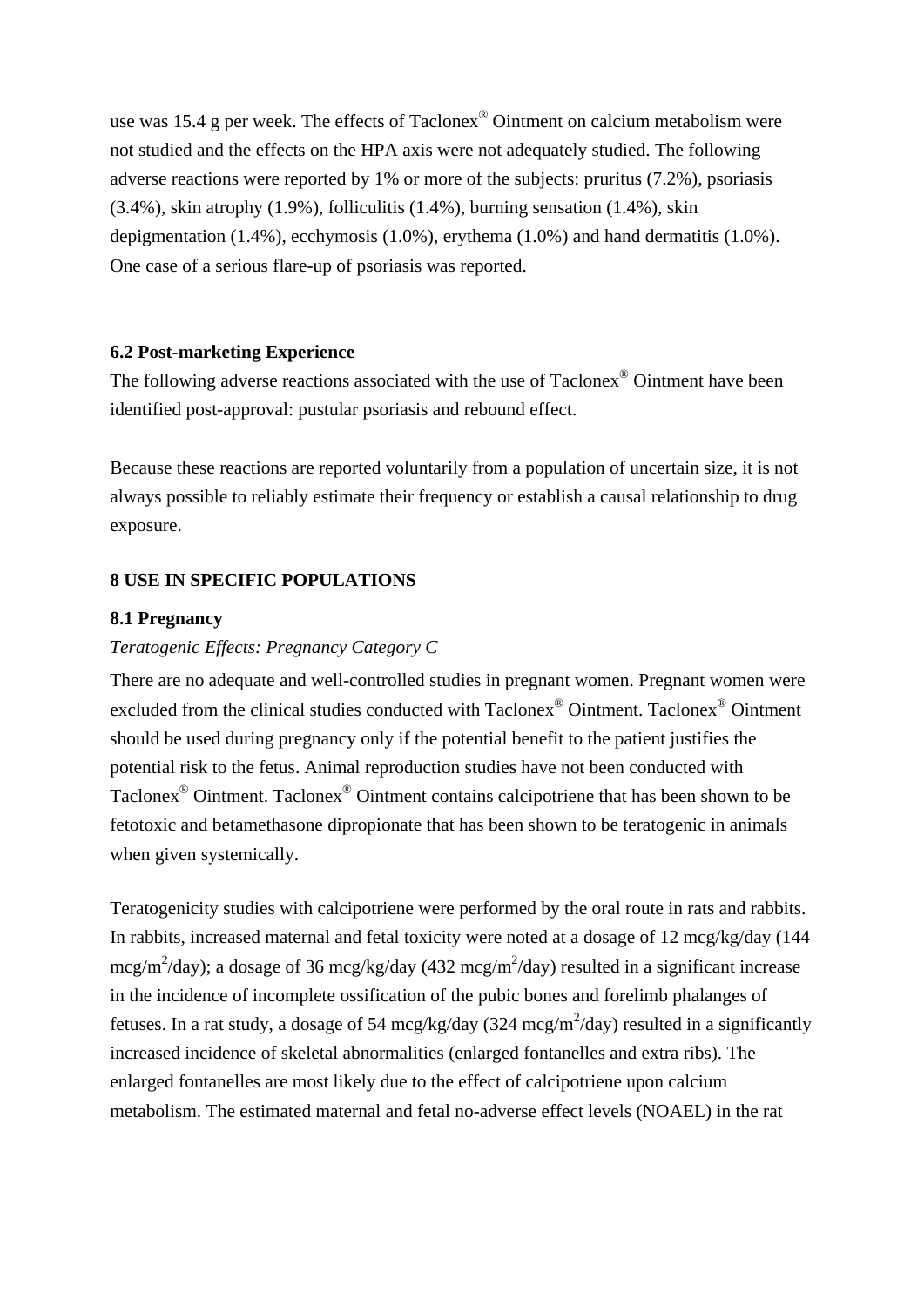use was 15.4 g per week. The effects of Taclonex® Ointment on calcium metabolism were not studied and the effects on the HPA axis were not adequately studied. The following adverse reactions were reported by 1% or more of the subjects: pruritus (7.2%), psoriasis (3.4%), skin atrophy (1.9%), folliculitis (1.4%), burning sensation (1.4%), skin depigmentation (1.4%), ecchymosis (1.0%), erythema (1.0%) and hand dermatitis (1.0%). One case of a serious flare-up of psoriasis was reported.

### **6.2 Post-marketing Experience**

The following adverse reactions associated with the use of Taclonex® Ointment have been identified post-approval: pustular psoriasis and rebound effect.

Because these reactions are reported voluntarily from a population of uncertain size, it is not always possible to reliably estimate their frequency or establish a causal relationship to drug exposure.

# **8 USE IN SPECIFIC POPULATIONS**

### **8.1 Pregnancy**

### *Teratogenic Effects: Pregnancy Category C*

There are no adequate and well-controlled studies in pregnant women. Pregnant women were excluded from the clinical studies conducted with Taclonex® Ointment. Taclonex® Ointment should be used during pregnancy only if the potential benefit to the patient justifies the potential risk to the fetus. Animal reproduction studies have not been conducted with Taclonex® Ointment. Taclonex® Ointment contains calcipotriene that has been shown to be fetotoxic and betamethasone dipropionate that has been shown to be teratogenic in animals when given systemically.

Teratogenicity studies with calcipotriene were performed by the oral route in rats and rabbits. In rabbits, increased maternal and fetal toxicity were noted at a dosage of 12 mcg/kg/day (144 mcg/m<sup>2</sup>/day); a dosage of 36 mcg/kg/day (432 mcg/m<sup>2</sup>/day) resulted in a significant increase in the incidence of incomplete ossification of the pubic bones and forelimb phalanges of fetuses. In a rat study, a dosage of 54 mcg/kg/day (324 mcg/m<sup>2</sup>/day) resulted in a significantly increased incidence of skeletal abnormalities (enlarged fontanelles and extra ribs). The enlarged fontanelles are most likely due to the effect of calcipotriene upon calcium metabolism. The estimated maternal and fetal no-adverse effect levels (NOAEL) in the rat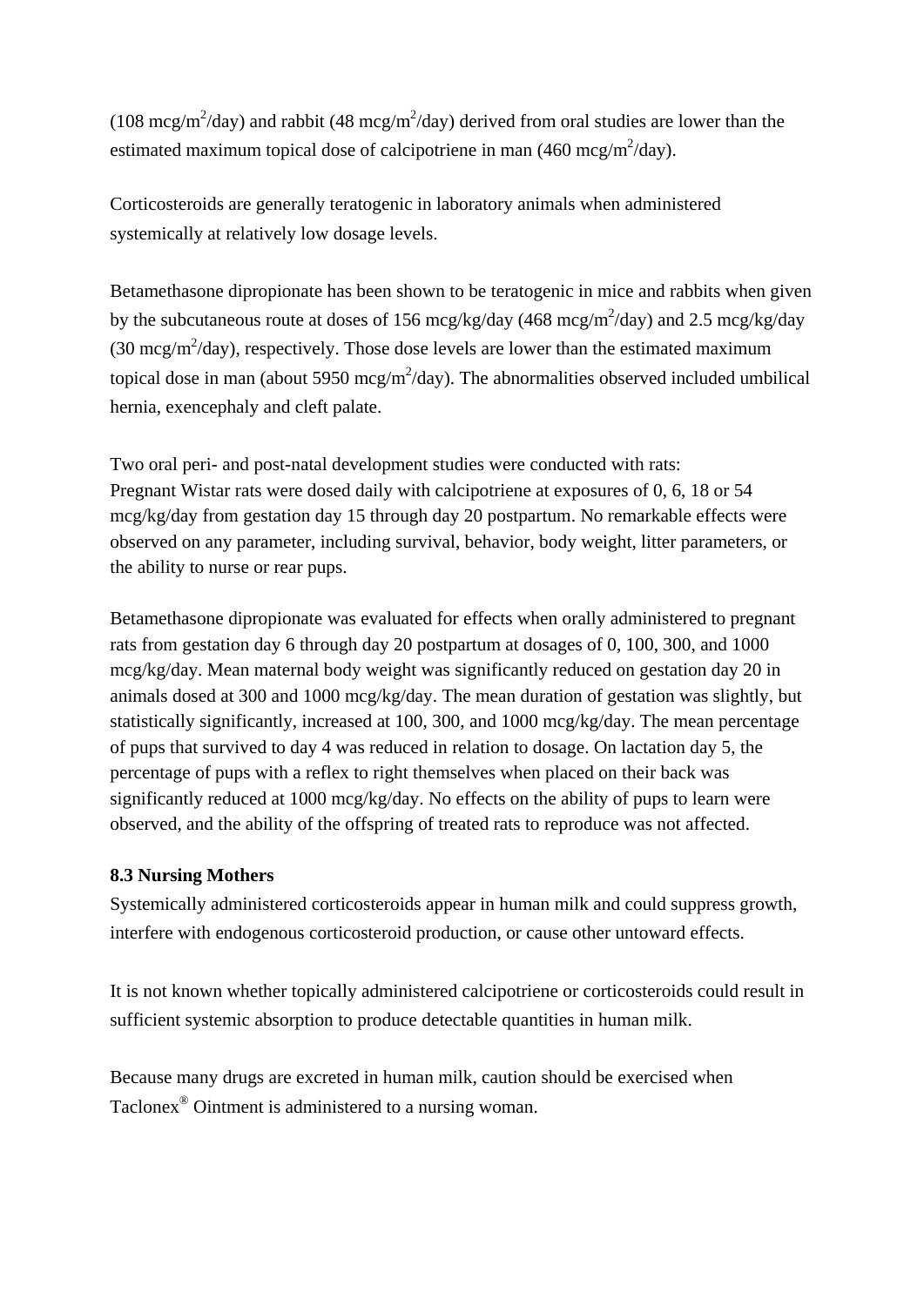(108 mcg/m<sup>2</sup>/day) and rabbit (48 mcg/m<sup>2</sup>/day) derived from oral studies are lower than the estimated maximum topical dose of calcipotriene in man  $(460 \text{ mcg/m}^2/\text{day})$ .

Corticosteroids are generally teratogenic in laboratory animals when administered systemically at relatively low dosage levels.

Betamethasone dipropionate has been shown to be teratogenic in mice and rabbits when given by the subcutaneous route at doses of 156 mcg/kg/day (468 mcg/m<sup>2</sup>/day) and 2.5 mcg/kg/day (30 mcg/m<sup>2</sup>/day), respectively. Those dose levels are lower than the estimated maximum topical dose in man (about 5950 mcg/m<sup>2</sup>/day). The abnormalities observed included umbilical hernia, exencephaly and cleft palate.

Two oral peri- and post-natal development studies were conducted with rats: Pregnant Wistar rats were dosed daily with calcipotriene at exposures of 0, 6, 18 or 54 mcg/kg/day from gestation day 15 through day 20 postpartum. No remarkable effects were observed on any parameter, including survival, behavior, body weight, litter parameters, or the ability to nurse or rear pups.

Betamethasone dipropionate was evaluated for effects when orally administered to pregnant rats from gestation day 6 through day 20 postpartum at dosages of 0, 100, 300, and 1000 mcg/kg/day. Mean maternal body weight was significantly reduced on gestation day 20 in animals dosed at 300 and 1000 mcg/kg/day. The mean duration of gestation was slightly, but statistically significantly, increased at 100, 300, and 1000 mcg/kg/day. The mean percentage of pups that survived to day 4 was reduced in relation to dosage. On lactation day 5, the percentage of pups with a reflex to right themselves when placed on their back was significantly reduced at 1000 mcg/kg/day. No effects on the ability of pups to learn were observed, and the ability of the offspring of treated rats to reproduce was not affected.

## **8.3 Nursing Mothers**

Systemically administered corticosteroids appear in human milk and could suppress growth, interfere with endogenous corticosteroid production, or cause other untoward effects.

It is not known whether topically administered calcipotriene or corticosteroids could result in sufficient systemic absorption to produce detectable quantities in human milk.

Because many drugs are excreted in human milk, caution should be exercised when Taclonex® Ointment is administered to a nursing woman.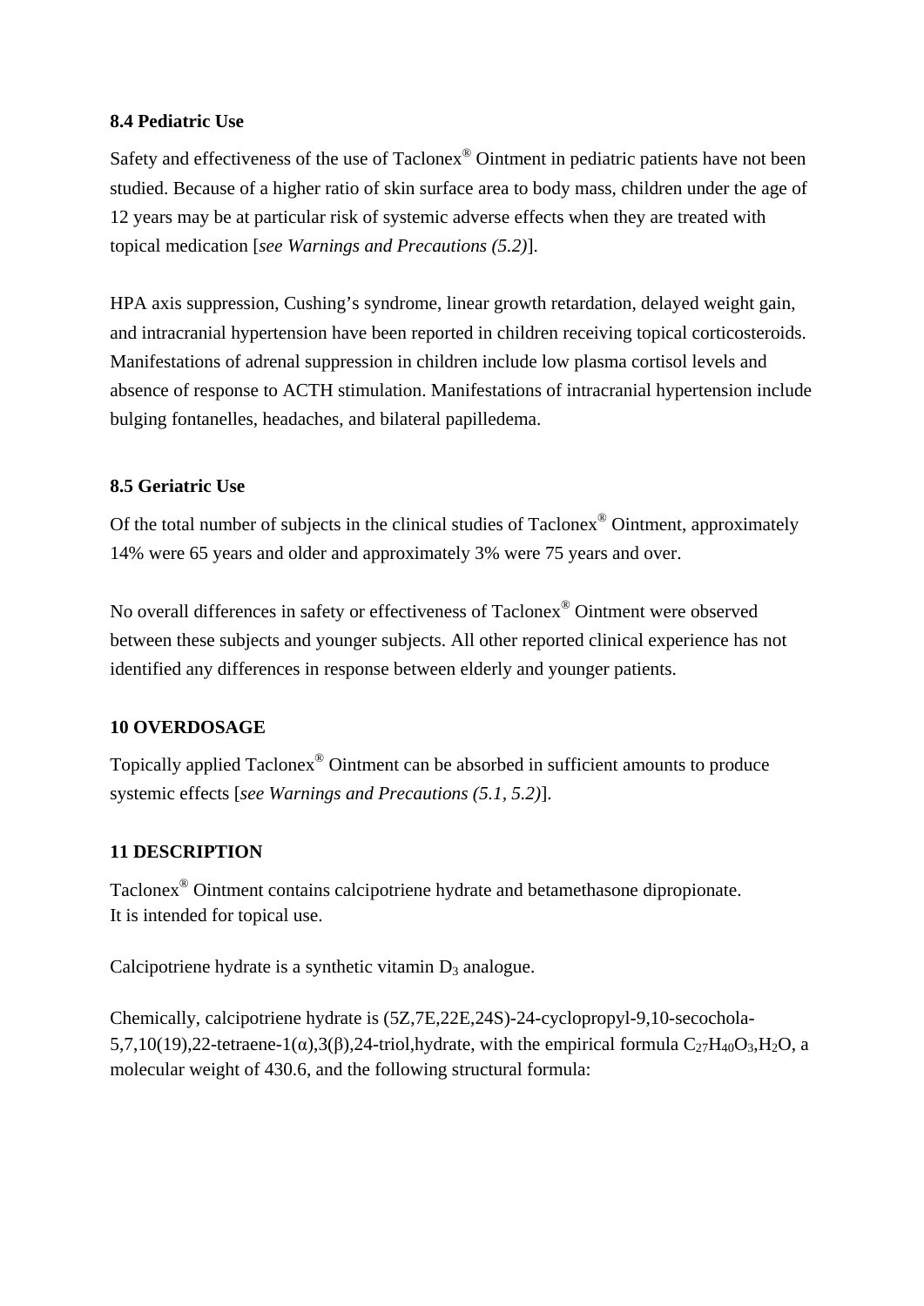### **8.4 Pediatric Use**

Safety and effectiveness of the use of Taclonex® Ointment in pediatric patients have not been studied. Because of a higher ratio of skin surface area to body mass, children under the age of 12 years may be at particular risk of systemic adverse effects when they are treated with topical medication [*see Warnings and Precautions (5.2)*].

HPA axis suppression, Cushing's syndrome, linear growth retardation, delayed weight gain, and intracranial hypertension have been reported in children receiving topical corticosteroids. Manifestations of adrenal suppression in children include low plasma cortisol levels and absence of response to ACTH stimulation. Manifestations of intracranial hypertension include bulging fontanelles, headaches, and bilateral papilledema.

# **8.5 Geriatric Use**

Of the total number of subjects in the clinical studies of Taclonex® Ointment, approximately 14% were 65 years and older and approximately 3% were 75 years and over.

No overall differences in safety or effectiveness of Taclonex® Ointment were observed between these subjects and younger subjects. All other reported clinical experience has not identified any differences in response between elderly and younger patients.

## **10 OVERDOSAGE**

Topically applied Taclonex® Ointment can be absorbed in sufficient amounts to produce systemic effects [*see Warnings and Precautions (5.1, 5.2)*].

# **11 DESCRIPTION**

Taclonex® Ointment contains calcipotriene hydrate and betamethasone dipropionate. It is intended for topical use.

Calcipotriene hydrate is a synthetic vitamin  $D_3$  analogue.

Chemically, calcipotriene hydrate is (5Z,7E,22E,24S)-24-cyclopropyl-9,10-secochola-5,7,10(19),22-tetraene-1( $\alpha$ ),3( $\beta$ ),24-triol,hydrate, with the empirical formula C<sub>27</sub>H<sub>40</sub>O<sub>3</sub>,H<sub>2</sub>O, a molecular weight of 430.6, and the following structural formula: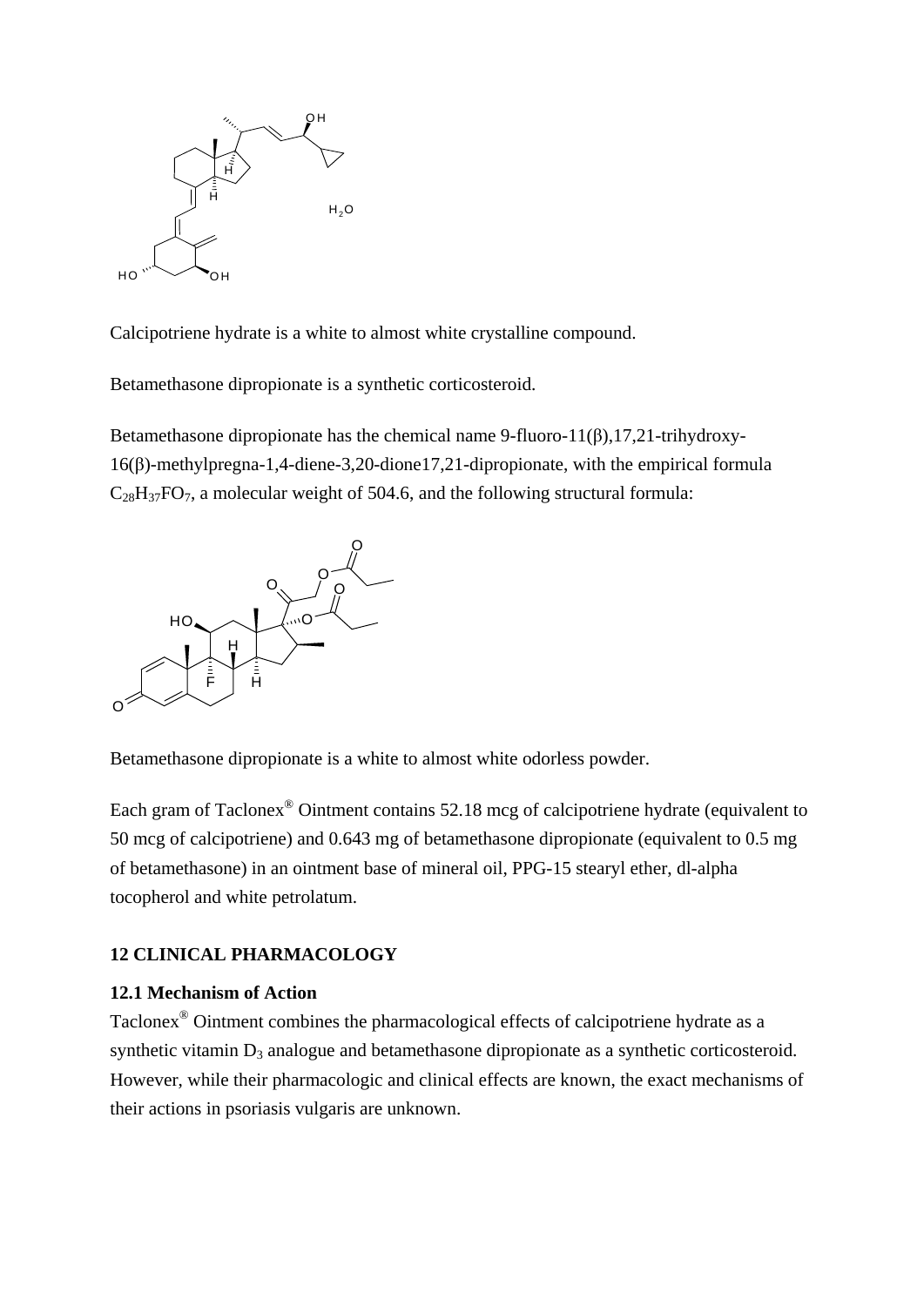

Calcipotriene hydrate is a white to almost white crystalline compound.

Betamethasone dipropionate is a synthetic corticosteroid.

Betamethasone dipropionate has the chemical name 9-fluoro-11( $\beta$ ),17,21-trihydroxy-16(β)-methylpregna-1,4-diene-3,20-dione17,21-dipropionate, with the empirical formula  $C_{28}H_{37}FO_7$ , a molecular weight of 504.6, and the following structural formula:



Betamethasone dipropionate is a white to almost white odorless powder.

Each gram of Taclonex<sup>®</sup> Ointment contains 52.18 mcg of calcipotriene hydrate (equivalent to 50 mcg of calcipotriene) and 0.643 mg of betamethasone dipropionate (equivalent to 0.5 mg of betamethasone) in an ointment base of mineral oil, PPG-15 stearyl ether, dl-alpha tocopherol and white petrolatum.

# **12 CLINICAL PHARMACOLOGY**

## **12.1 Mechanism of Action**

Taclonex® Ointment combines the pharmacological effects of calcipotriene hydrate as a synthetic vitamin  $D_3$  analogue and betamethasone dipropionate as a synthetic corticosteroid. However, while their pharmacologic and clinical effects are known, the exact mechanisms of their actions in psoriasis vulgaris are unknown.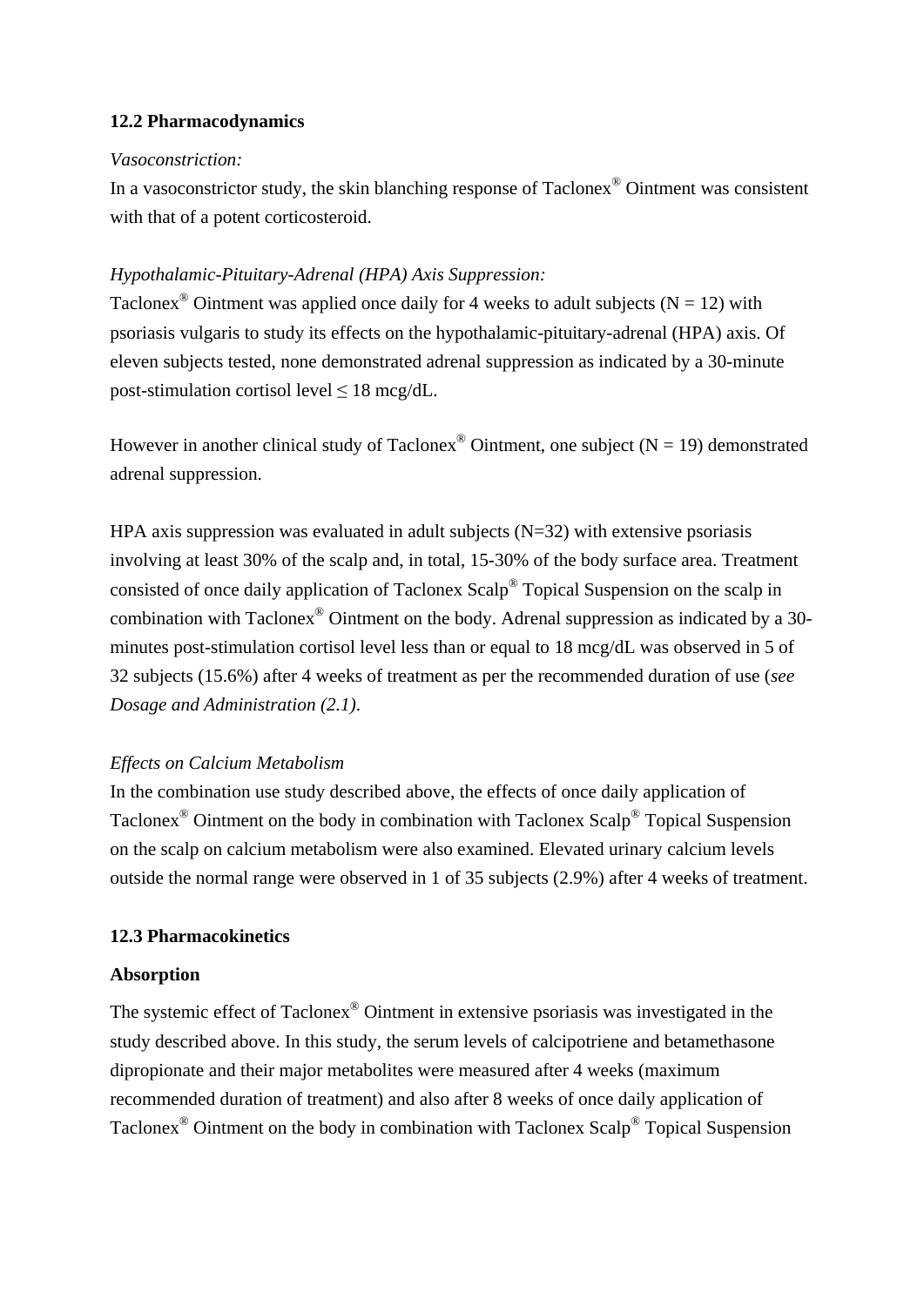#### **12.2 Pharmacodynamics**

#### *Vasoconstriction:*

In a vasoconstrictor study, the skin blanching response of Taclonex® Ointment was consistent with that of a potent corticosteroid.

#### *Hypothalamic-Pituitary-Adrenal (HPA) Axis Suppression:*

Taclonex<sup>®</sup> Ointment was applied once daily for 4 weeks to adult subjects ( $N = 12$ ) with psoriasis vulgaris to study its effects on the hypothalamic-pituitary-adrenal (HPA) axis. Of eleven subjects tested, none demonstrated adrenal suppression as indicated by a 30-minute post-stimulation cortisol level  $\leq 18$  mcg/dL.

However in another clinical study of Taclonex<sup>®</sup> Ointment, one subject ( $N = 19$ ) demonstrated adrenal suppression.

HPA axis suppression was evaluated in adult subjects  $(N=32)$  with extensive psoriasis involving at least 30% of the scalp and, in total, 15-30% of the body surface area. Treatment consisted of once daily application of Taclonex Scalp® Topical Suspension on the scalp in combination with Taclonex® Ointment on the body. Adrenal suppression as indicated by a 30 minutes post-stimulation cortisol level less than or equal to 18 mcg/dL was observed in 5 of 32 subjects (15.6%) after 4 weeks of treatment as per the recommended duration of use (*see Dosage and Administration (2.1)*.

## *Effects on Calcium Metabolism*

In the combination use study described above, the effects of once daily application of Taclonex® Ointment on the body in combination with Taclonex Scalp® Topical Suspension on the scalp on calcium metabolism were also examined. Elevated urinary calcium levels outside the normal range were observed in 1 of 35 subjects (2.9%) after 4 weeks of treatment.

#### **12.3 Pharmacokinetics**

#### **Absorption**

The systemic effect of Taclonex® Ointment in extensive psoriasis was investigated in the study described above. In this study, the serum levels of calcipotriene and betamethasone dipropionate and their major metabolites were measured after 4 weeks (maximum recommended duration of treatment) and also after 8 weeks of once daily application of Taclonex® Ointment on the body in combination with Taclonex Scalp® Topical Suspension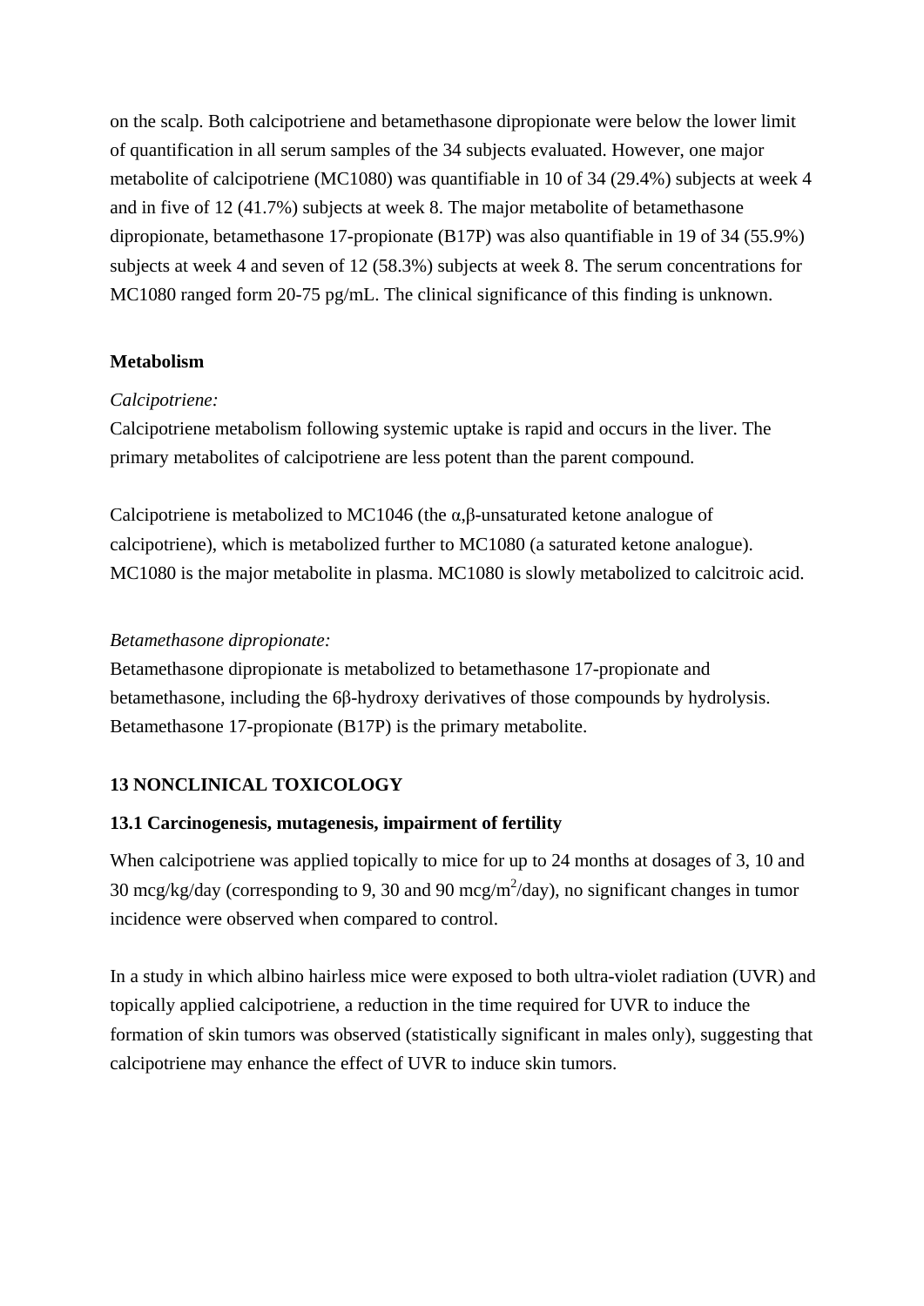on the scalp. Both calcipotriene and betamethasone dipropionate were below the lower limit of quantification in all serum samples of the 34 subjects evaluated. However, one major metabolite of calcipotriene (MC1080) was quantifiable in 10 of 34 (29.4%) subjects at week 4 and in five of 12 (41.7%) subjects at week 8. The major metabolite of betamethasone dipropionate, betamethasone 17-propionate (B17P) was also quantifiable in 19 of 34 (55.9%) subjects at week 4 and seven of 12 (58.3%) subjects at week 8. The serum concentrations for MC1080 ranged form 20-75 pg/mL. The clinical significance of this finding is unknown.

#### **Metabolism**

### *Calcipotriene:*

Calcipotriene metabolism following systemic uptake is rapid and occurs in the liver. The primary metabolites of calcipotriene are less potent than the parent compound.

Calcipotriene is metabolized to MC1046 (the α,β-unsaturated ketone analogue of calcipotriene), which is metabolized further to MC1080 (a saturated ketone analogue). MC1080 is the major metabolite in plasma. MC1080 is slowly metabolized to calcitroic acid.

### *Betamethasone dipropionate:*

Betamethasone dipropionate is metabolized to betamethasone 17-propionate and betamethasone, including the 6β-hydroxy derivatives of those compounds by hydrolysis. Betamethasone 17-propionate (B17P) is the primary metabolite.

## **13 NONCLINICAL TOXICOLOGY**

## **13.1 Carcinogenesis, mutagenesis, impairment of fertility**

When calcipotriene was applied topically to mice for up to 24 months at dosages of 3, 10 and 30 mcg/kg/day (corresponding to 9, 30 and 90 mcg/m<sup>2</sup>/day), no significant changes in tumor incidence were observed when compared to control.

In a study in which albino hairless mice were exposed to both ultra-violet radiation (UVR) and topically applied calcipotriene, a reduction in the time required for UVR to induce the formation of skin tumors was observed (statistically significant in males only), suggesting that calcipotriene may enhance the effect of UVR to induce skin tumors.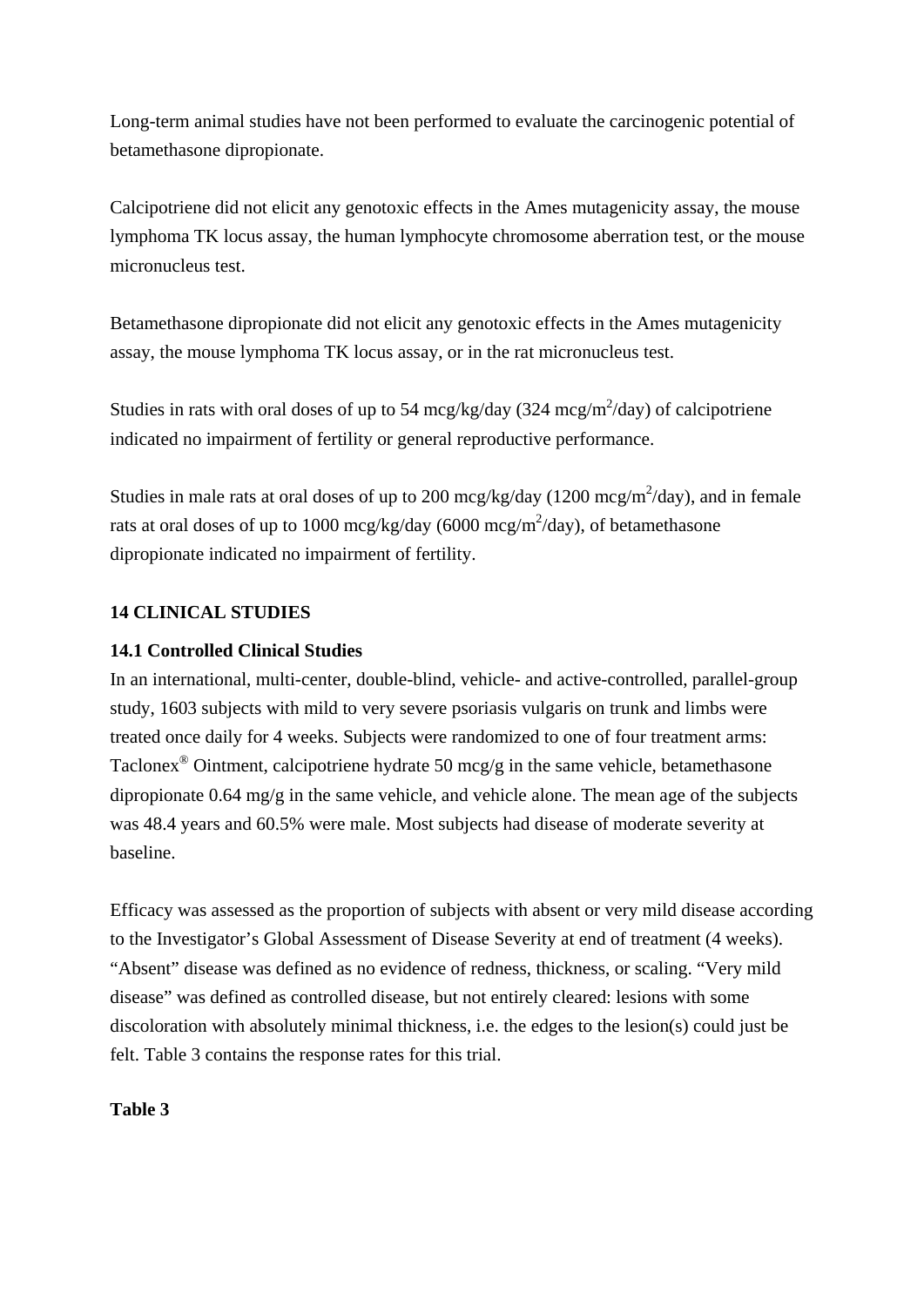Long-term animal studies have not been performed to evaluate the carcinogenic potential of betamethasone dipropionate.

Calcipotriene did not elicit any genotoxic effects in the Ames mutagenicity assay, the mouse lymphoma TK locus assay, the human lymphocyte chromosome aberration test, or the mouse micronucleus test.

Betamethasone dipropionate did not elicit any genotoxic effects in the Ames mutagenicity assay, the mouse lymphoma TK locus assay, or in the rat micronucleus test.

Studies in rats with oral doses of up to 54 mcg/kg/day (324 mcg/m<sup>2</sup>/day) of calcipotriene indicated no impairment of fertility or general reproductive performance.

Studies in male rats at oral doses of up to 200 mcg/kg/day (1200 mcg/m<sup>2</sup>/day), and in female rats at oral doses of up to 1000 mcg/kg/day (6000 mcg/m<sup>2</sup>/day), of betamethasone dipropionate indicated no impairment of fertility.

## **14 CLINICAL STUDIES**

## **14.1 Controlled Clinical Studies**

In an international, multi-center, double-blind, vehicle- and active-controlled, parallel-group study, 1603 subjects with mild to very severe psoriasis vulgaris on trunk and limbs were treated once daily for 4 weeks. Subjects were randomized to one of four treatment arms: Taclonex<sup>®</sup> Ointment, calcipotriene hydrate 50 mcg/g in the same vehicle, betamethasone dipropionate 0.64 mg/g in the same vehicle, and vehicle alone. The mean age of the subjects was 48.4 years and 60.5% were male. Most subjects had disease of moderate severity at baseline.

Efficacy was assessed as the proportion of subjects with absent or very mild disease according to the Investigator's Global Assessment of Disease Severity at end of treatment (4 weeks). "Absent" disease was defined as no evidence of redness, thickness, or scaling. "Very mild disease" was defined as controlled disease, but not entirely cleared: lesions with some discoloration with absolutely minimal thickness, i.e. the edges to the lesion(s) could just be felt. Table 3 contains the response rates for this trial.

## **Table 3**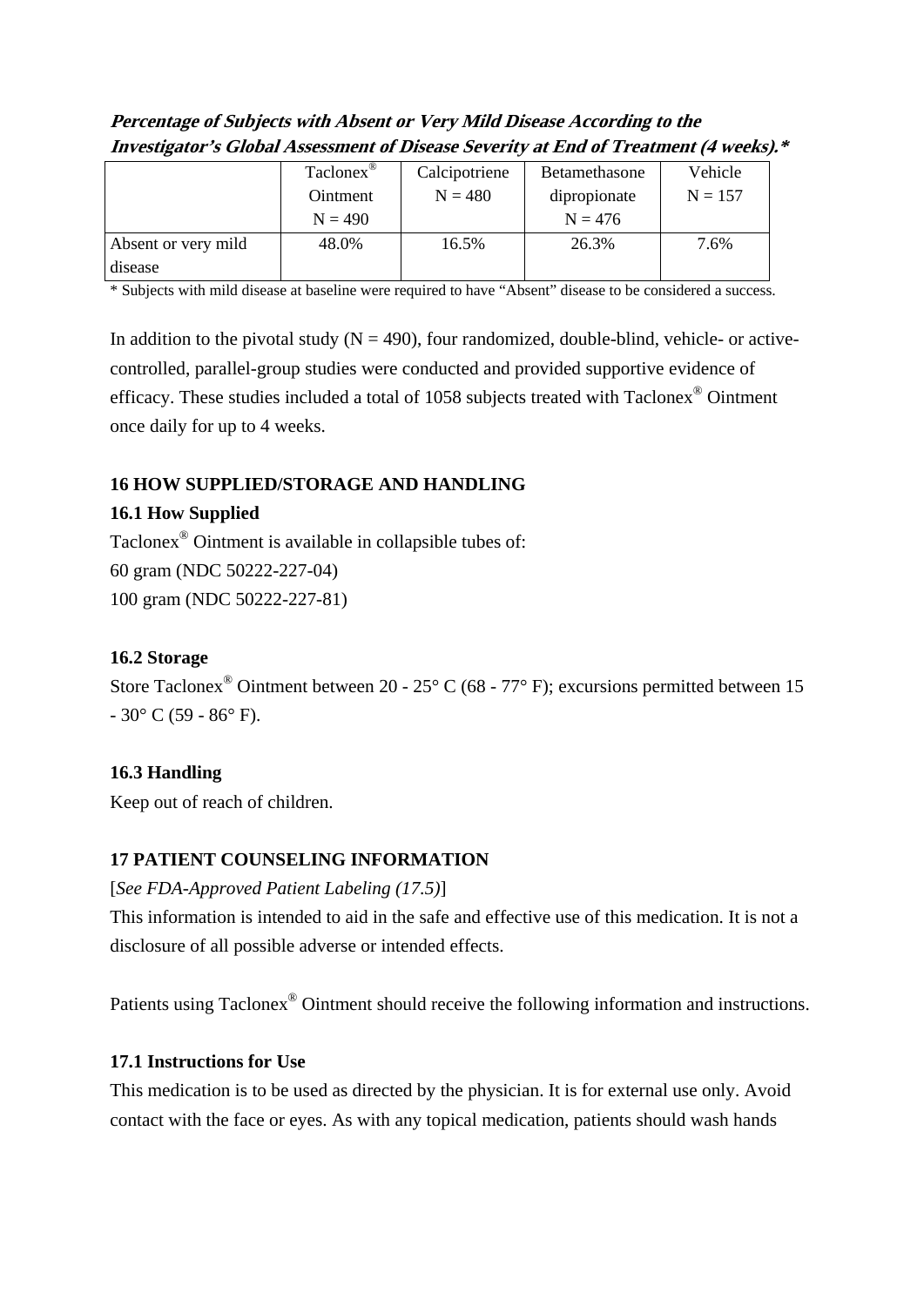| Percentage of Subjects with Absent or Very Mild Disease According to the             |
|--------------------------------------------------------------------------------------|
| Investigator's Global Assessment of Disease Severity at End of Treatment (4 weeks).* |

|                     | Taclonex <sup>®</sup> | Calcipotriene | Betamethasone | Vehicle   |
|---------------------|-----------------------|---------------|---------------|-----------|
|                     | Ointment              | $N = 480$     | dipropionate  | $N = 157$ |
|                     | $N = 490$             |               | $N = 476$     |           |
| Absent or very mild | 48.0%                 | 16.5%         | 26.3%         | 7.6%      |
| disease             |                       |               |               |           |

\* Subjects with mild disease at baseline were required to have "Absent" disease to be considered a success.

In addition to the pivotal study  $(N = 490)$ , four randomized, double-blind, vehicle- or activecontrolled, parallel-group studies were conducted and provided supportive evidence of efficacy. These studies included a total of 1058 subjects treated with Taclonex® Ointment once daily for up to 4 weeks.

# **16 HOW SUPPLIED/STORAGE AND HANDLING**

# **16.1 How Supplied**

Taclonex® Ointment is available in collapsible tubes of: 60 gram (NDC 50222-227-04) 100 gram (NDC 50222-227-81)

# **16.2 Storage**

Store Taclonex<sup>®</sup> Ointment between 20 - 25 $\degree$  C (68 - 77 $\degree$  F); excursions permitted between 15  $-30^{\circ}$  C (59 - 86 $^{\circ}$  F).

# **16.3 Handling**

Keep out of reach of children.

# **17 PATIENT COUNSELING INFORMATION**

# [*See FDA-Approved Patient Labeling (17.5)*]

This information is intended to aid in the safe and effective use of this medication. It is not a disclosure of all possible adverse or intended effects.

Patients using Taclonex® Ointment should receive the following information and instructions.

# **17.1 Instructions for Use**

This medication is to be used as directed by the physician. It is for external use only. Avoid contact with the face or eyes. As with any topical medication, patients should wash hands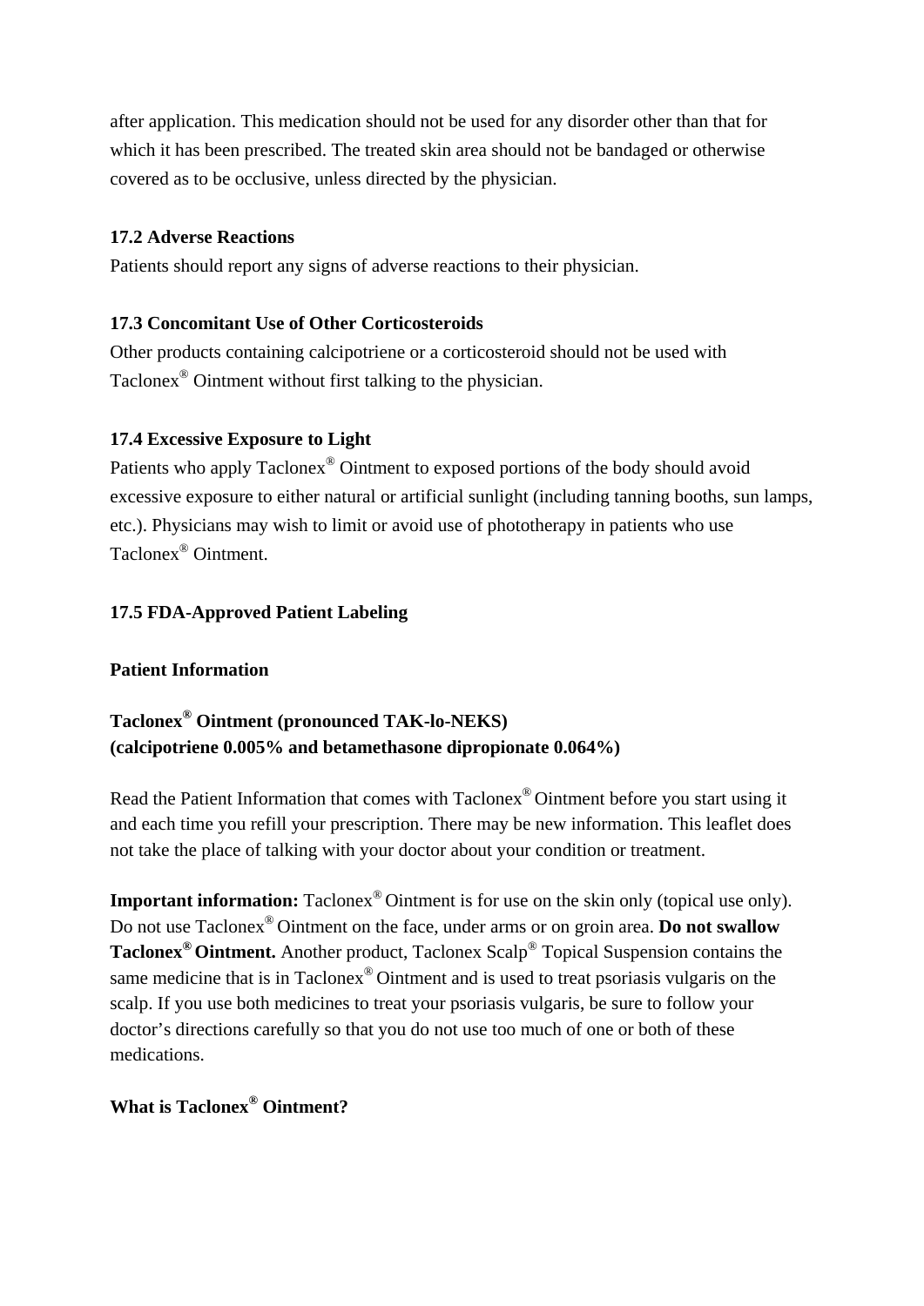after application. This medication should not be used for any disorder other than that for which it has been prescribed. The treated skin area should not be bandaged or otherwise covered as to be occlusive, unless directed by the physician.

# **17.2 Adverse Reactions**

Patients should report any signs of adverse reactions to their physician.

# **17.3 Concomitant Use of Other Corticosteroids**

Other products containing calcipotriene or a corticosteroid should not be used with Taclonex® Ointment without first talking to the physician.

# **17.4 Excessive Exposure to Light**

Patients who apply Taclonex® Ointment to exposed portions of the body should avoid excessive exposure to either natural or artificial sunlight (including tanning booths, sun lamps, etc.). Physicians may wish to limit or avoid use of phototherapy in patients who use Taclonex® Ointment.

# **17.5 FDA-Approved Patient Labeling**

# **Patient Information**

# **Taclonex® Ointment (pronounced TAK-lo-NEKS) (calcipotriene 0.005% and betamethasone dipropionate 0.064%)**

Read the Patient Information that comes with Taclonex® Ointment before you start using it and each time you refill your prescription. There may be new information. This leaflet does not take the place of talking with your doctor about your condition or treatment.

**Important information:** Taclonex<sup>®</sup> Ointment is for use on the skin only (topical use only). Do not use Taclonex® Ointment on the face, under arms or on groin area. **Do not swallow Taclonex® Ointment.** Another product, Taclonex Scalp® Topical Suspension contains the same medicine that is in Taclonex<sup>®</sup> Ointment and is used to treat psoriasis vulgaris on the scalp. If you use both medicines to treat your psoriasis vulgaris, be sure to follow your doctor's directions carefully so that you do not use too much of one or both of these medications.

# **What is Taclonex® Ointment?**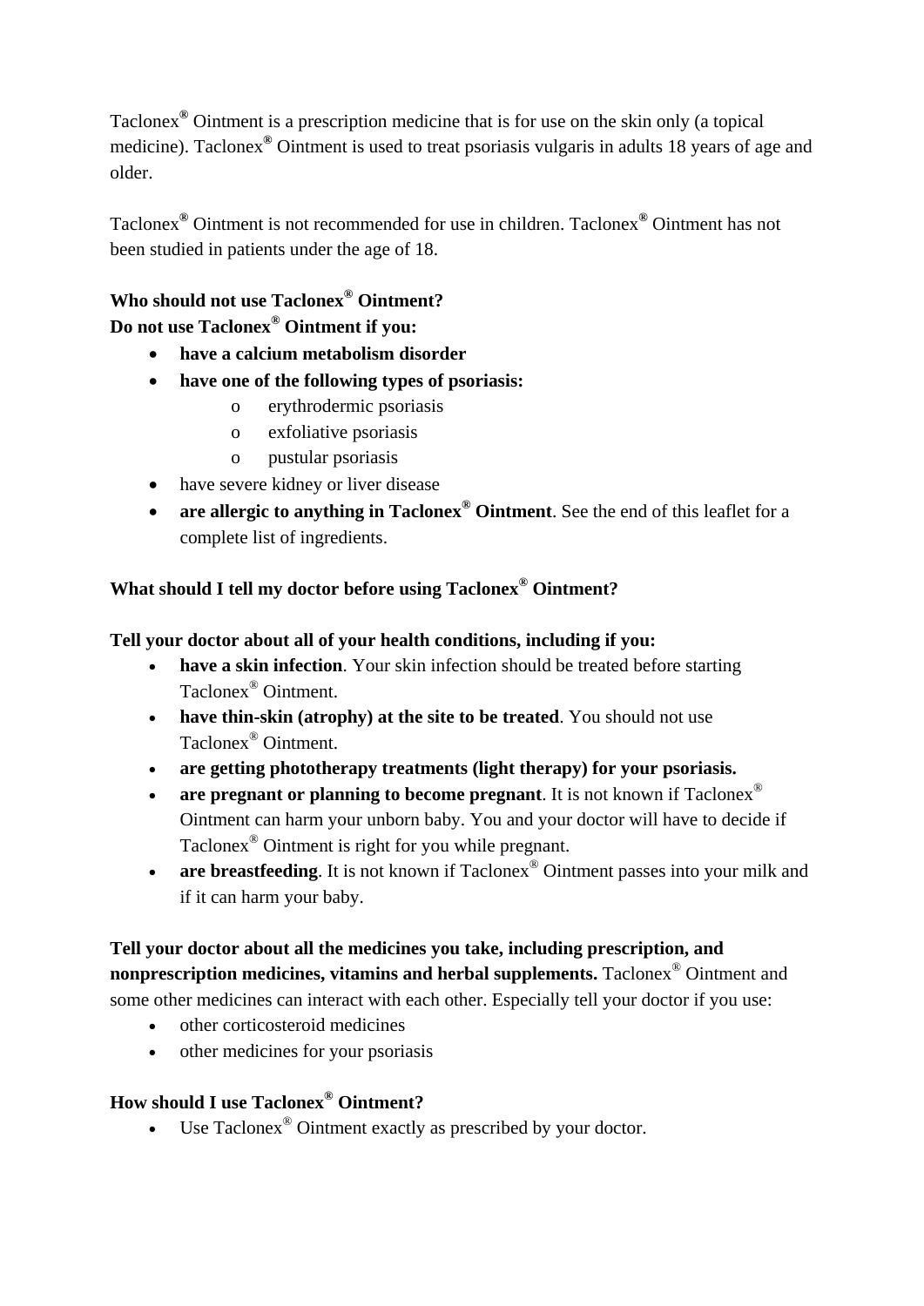Taclonex**®** Ointment is a prescription medicine that is for use on the skin only (a topical medicine). Taclonex**®** Ointment is used to treat psoriasis vulgaris in adults 18 years of age and older.

Taclonex**®** Ointment is not recommended for use in children. Taclonex**®** Ointment has not been studied in patients under the age of 18.

# **Who should not use Taclonex® Ointment? Do not use Taclonex® Ointment if you:**

- • **have a calcium metabolism disorder**
- • **have one of the following types of psoriasis:** 
	- o erythrodermic psoriasis
	- $\overline{0}$ exfoliative psoriasis
	- o pustular psoriasis
- have severe kidney or liver disease
- are allergic to anything in Taclonex<sup>®</sup> Ointment. See the end of this leaflet for a complete list of ingredients.

# **What should I tell my doctor before using Taclonex® Ointment?**

# **Tell your doctor about all of your health conditions, including if you:**

- have a skin infection. Your skin infection should be treated before starting Taclonex® Ointment.
- **have thin-skin (atrophy) at the site to be treated.** You should not use Taclonex® Ointment.
- are getting phototherapy treatments (light therapy) for your psoriasis.
- are pregnant or planning to become pregnant. It is not known if Taclonex<sup>®</sup> Ointment can harm your unborn baby. You and your doctor will have to decide if Taclonex® Ointment is right for you while pregnant.
- are breastfeeding. It is not known if Taclonex<sup>®</sup> Ointment passes into your milk and if it can harm your baby.

# **Tell your doctor about all the medicines you take, including prescription, and nonprescription medicines, vitamins and herbal supplements.** Taclonex<sup>®</sup> Ointment and some other medicines can interact with each other. Especially tell your doctor if you use:

- other corticosteroid medicines
- other medicines for your psoriasis

# **How should I use Taclonex® Ointment?**

• Use Taclonex<sup>®</sup> Ointment exactly as prescribed by your doctor.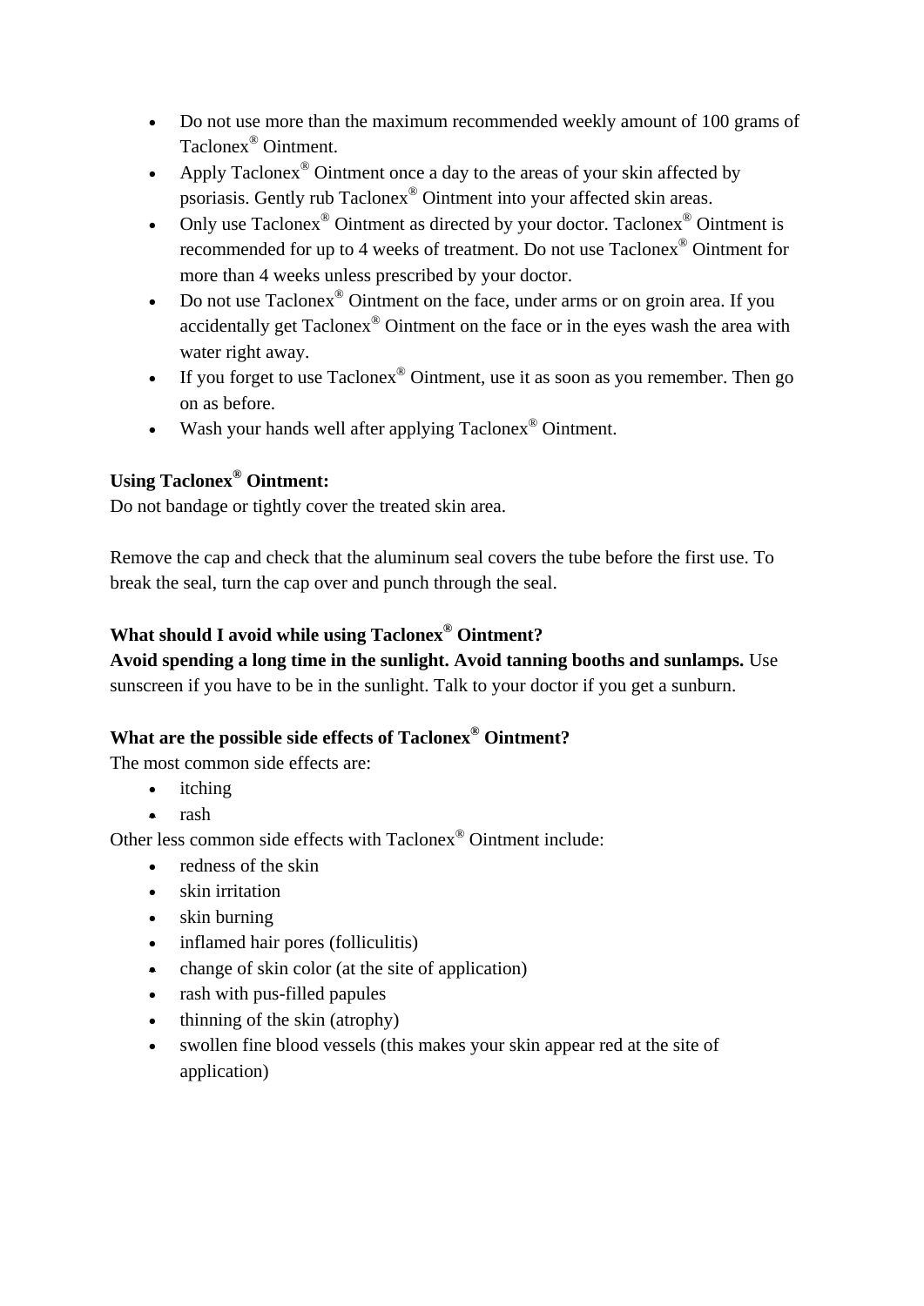- Do not use more than the maximum recommended weekly amount of 100 grams of Taclonex® Ointment.
- Apply Taclonex<sup>®</sup> Ointment once a day to the areas of your skin affected by psoriasis. Gently rub Taclonex® Ointment into your affected skin areas.
- Only use  $Taclonex^@$  Ointment as directed by your doctor. Taclonex<sup>®</sup> Ointment is recommended for up to 4 weeks of treatment. Do not use Taclonex® Ointment for more than 4 weeks unless prescribed by your doctor.
- Do not use  $Taclong^{\circledast}$  Ointment on the face, under arms or on groin area. If you accidentally get Taclonex® Ointment on the face or in the eyes wash the area with water right away.
- If you forget to use  $Taclonex^{\circledast}$  Ointment, use it as soon as you remember. Then go on as before.
- Wash your hands well after applying Taclonex<sup>®</sup> Ointment.

# **Using Taclonex® Ointment:**

Do not bandage or tightly cover the treated skin area.

Remove the cap and check that the aluminum seal covers the tube before the first use. To break the seal, turn the cap over and punch through the seal.

# **What should I avoid while using Taclonex® Ointment?**

**Avoid spending a long time in the sunlight. Avoid tanning booths and sunlamps.** Use sunscreen if you have to be in the sunlight. Talk to your doctor if you get a sunburn.

# **What are the possible side effects of Taclonex® Ointment?**

The most common side effects are:

- itching
- rash

Other less common side effects with Taclonex® Ointment include:

- redness of the skin
- skin irritation
- skin burning
- inflamed hair pores (folliculitis)
- change of skin color (at the site of application)
- rash with pus-filled papules
- thinning of the skin (atrophy)
- swollen fine blood vessels (this makes your skin appear red at the site of application)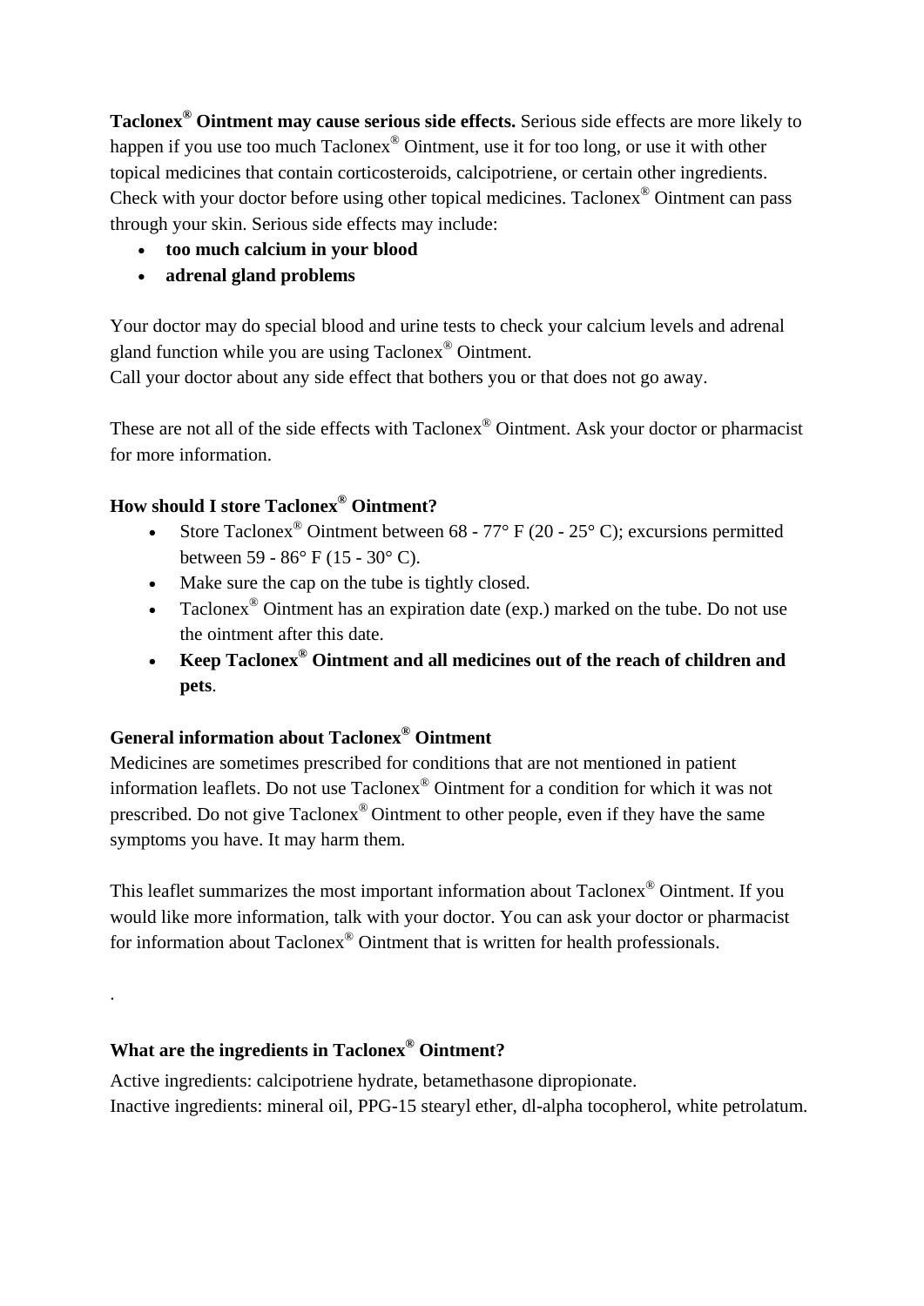**Taclonex® Ointment may cause serious side effects.** Serious side effects are more likely to happen if you use too much Taclonex<sup>®</sup> Ointment, use it for too long, or use it with other topical medicines that contain corticosteroids, calcipotriene, or certain other ingredients. Check with your doctor before using other topical medicines. Taclonex® Ointment can pass through your skin. Serious side effects may include:

- • **too much calcium in your blood**
- • **adrenal gland problems**

Your doctor may do special blood and urine tests to check your calcium levels and adrenal gland function while you are using Taclonex® Ointment.

Call your doctor about any side effect that bothers you or that does not go away.

These are not all of the side effects with Taclonex<sup>®</sup> Ointment. Ask your doctor or pharmacist for more information.

# **How should I store Taclonex® Ointment?**

- Store Taclonex<sup>®</sup> Ointment between  $68 77°$  F (20 25° C); excursions permitted between 59 - 86° F (15 - 30° C).
- Make sure the cap on the tube is tightly closed.
- Taclonex<sup>®</sup> Ointment has an expiration date (exp.) marked on the tube. Do not use the ointment after this date.
- • **Keep Taclonex® Ointment and all medicines out of the reach of children and pets**.

# **General information about Taclonex® Ointment**

Medicines are sometimes prescribed for conditions that are not mentioned in patient information leaflets. Do not use Taclonex® Ointment for a condition for which it was not prescribed. Do not give Taclonex® Ointment to other people, even if they have the same symptoms you have. It may harm them.

This leaflet summarizes the most important information about Taclonex® Ointment. If you would like more information, talk with your doctor. You can ask your doctor or pharmacist for information about Taclonex® Ointment that is written for health professionals.

# **What are the ingredients in Taclonex® Ointment?**

.

Active ingredients: calcipotriene hydrate, betamethasone dipropionate. Inactive ingredients: mineral oil, PPG-15 stearyl ether, dl-alpha tocopherol, white petrolatum.